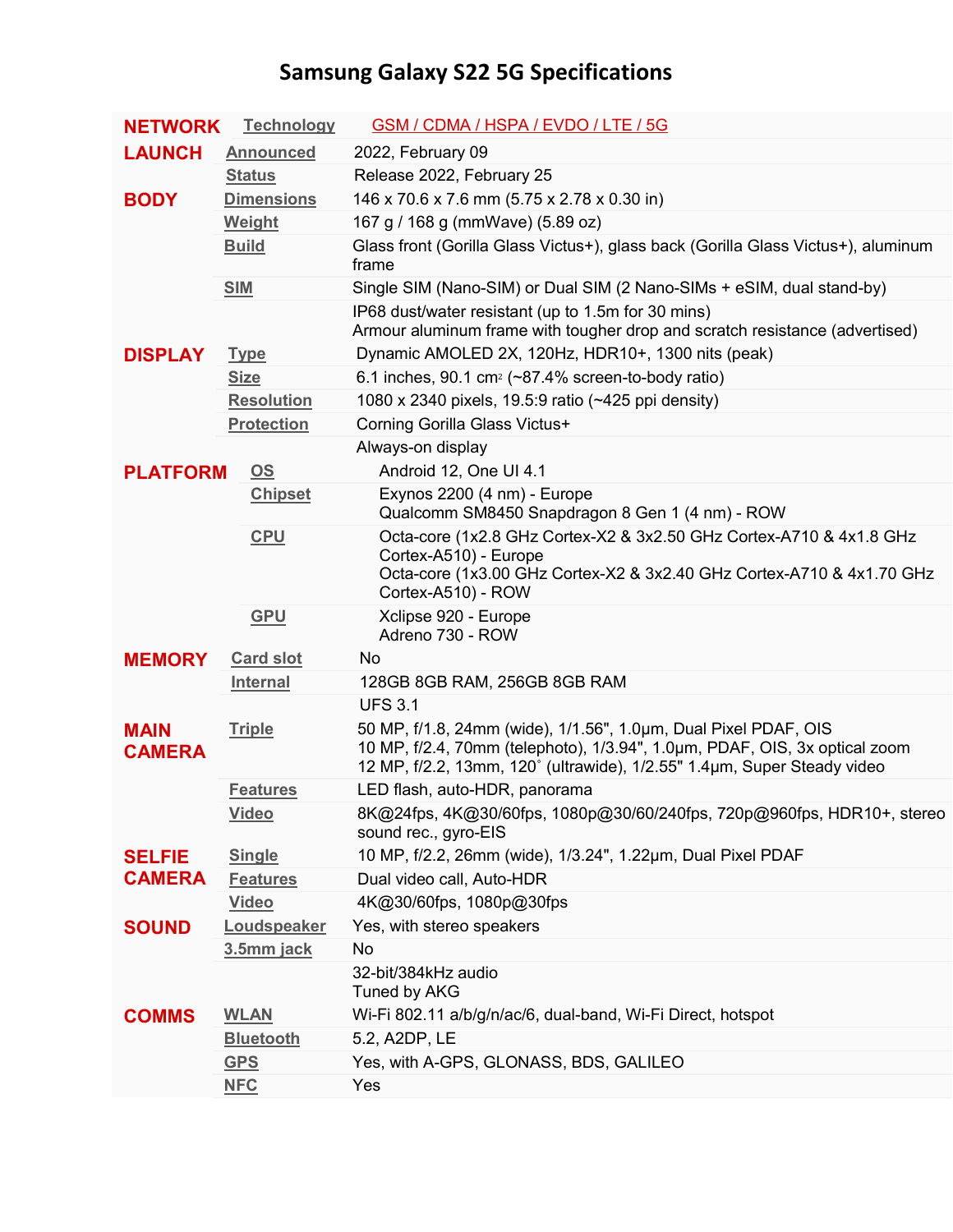## **Samsung Galaxy S22 5G Specifications**

| <b>NETWORK</b>                 | <b>Technology</b> | GSM / CDMA / HSPA / EVDO / LTE / 5G                                                                                                                                                                                      |
|--------------------------------|-------------------|--------------------------------------------------------------------------------------------------------------------------------------------------------------------------------------------------------------------------|
| <b>LAUNCH</b>                  | <b>Announced</b>  | 2022, February 09                                                                                                                                                                                                        |
|                                | <b>Status</b>     | Release 2022, February 25                                                                                                                                                                                                |
| <b>BODY</b>                    | <b>Dimensions</b> | 146 x 70.6 x 7.6 mm (5.75 x 2.78 x 0.30 in)                                                                                                                                                                              |
|                                | Weight            | 167 g / 168 g (mmWave) (5.89 oz)                                                                                                                                                                                         |
|                                | <b>Build</b>      | Glass front (Gorilla Glass Victus+), glass back (Gorilla Glass Victus+), aluminum<br>frame                                                                                                                               |
|                                | <b>SIM</b>        | Single SIM (Nano-SIM) or Dual SIM (2 Nano-SIMs + eSIM, dual stand-by)                                                                                                                                                    |
|                                |                   | IP68 dust/water resistant (up to 1.5m for 30 mins)<br>Armour aluminum frame with tougher drop and scratch resistance (advertised)                                                                                        |
| <b>DISPLAY</b>                 | <b>Type</b>       | Dynamic AMOLED 2X, 120Hz, HDR10+, 1300 nits (peak)                                                                                                                                                                       |
|                                | <b>Size</b>       | 6.1 inches, 90.1 cm <sup>2</sup> ( $\sim$ 87.4% screen-to-body ratio)                                                                                                                                                    |
|                                | <b>Resolution</b> | 1080 x 2340 pixels, 19.5:9 ratio (~425 ppi density)                                                                                                                                                                      |
|                                | <b>Protection</b> | Corning Gorilla Glass Victus+                                                                                                                                                                                            |
|                                |                   | Always-on display                                                                                                                                                                                                        |
| <b>PLATFORM</b>                | OS                | Android 12, One UI 4.1                                                                                                                                                                                                   |
|                                | <b>Chipset</b>    | Exynos 2200 (4 nm) - Europe<br>Qualcomm SM8450 Snapdragon 8 Gen 1 (4 nm) - ROW                                                                                                                                           |
|                                | <b>CPU</b>        | Octa-core (1x2.8 GHz Cortex-X2 & 3x2.50 GHz Cortex-A710 & 4x1.8 GHz<br>Cortex-A510) - Europe<br>Octa-core (1x3.00 GHz Cortex-X2 & 3x2.40 GHz Cortex-A710 & 4x1.70 GHz<br>Cortex-A510) - ROW                              |
|                                |                   |                                                                                                                                                                                                                          |
|                                | <b>GPU</b>        | Xclipse 920 - Europe<br>Adreno 730 - ROW                                                                                                                                                                                 |
| <b>MEMORY</b>                  | <b>Card slot</b>  | No                                                                                                                                                                                                                       |
|                                | <b>Internal</b>   | 128GB 8GB RAM, 256GB 8GB RAM                                                                                                                                                                                             |
|                                |                   | <b>UFS 3.1</b>                                                                                                                                                                                                           |
| <b>MAIN</b><br><b>CAMERA</b>   | <b>Triple</b>     | 50 MP, f/1.8, 24mm (wide), 1/1.56", 1.0µm, Dual Pixel PDAF, OIS<br>10 MP, f/2.4, 70mm (telephoto), 1/3.94", 1.0um, PDAF, OIS, 3x optical zoom<br>12 MP, f/2.2, 13mm, 120° (ultrawide), 1/2.55" 1.4µm, Super Steady video |
|                                | <b>Features</b>   | LED flash, auto-HDR, panorama                                                                                                                                                                                            |
|                                | <b>Video</b>      | 8K@24fps, 4K@30/60fps, 1080p@30/60/240fps, 720p@960fps, HDR10+, stereo<br>sound rec., gyro-EIS                                                                                                                           |
| <b>SELFIE</b><br><b>CAMERA</b> | <b>Single</b>     | 10 MP, f/2.2, 26mm (wide), 1/3.24", 1.22μm, Dual Pixel PDAF                                                                                                                                                              |
|                                | <b>Features</b>   | Dual video call, Auto-HDR                                                                                                                                                                                                |
|                                | <b>Video</b>      | 4K@30/60fps, 1080p@30fps                                                                                                                                                                                                 |
| <b>SOUND</b>                   | Loudspeaker       | Yes, with stereo speakers                                                                                                                                                                                                |
|                                | 3.5mm jack        | No                                                                                                                                                                                                                       |
|                                |                   | 32-bit/384kHz audio<br>Tuned by AKG                                                                                                                                                                                      |
| <b>COMMS</b>                   | <b>WLAN</b>       | Wi-Fi 802.11 a/b/g/n/ac/6, dual-band, Wi-Fi Direct, hotspot                                                                                                                                                              |
|                                | <b>Bluetooth</b>  | 5.2, A2DP, LE                                                                                                                                                                                                            |
|                                | <b>GPS</b>        | Yes, with A-GPS, GLONASS, BDS, GALILEO                                                                                                                                                                                   |
|                                | <b>NFC</b>        | Yes                                                                                                                                                                                                                      |